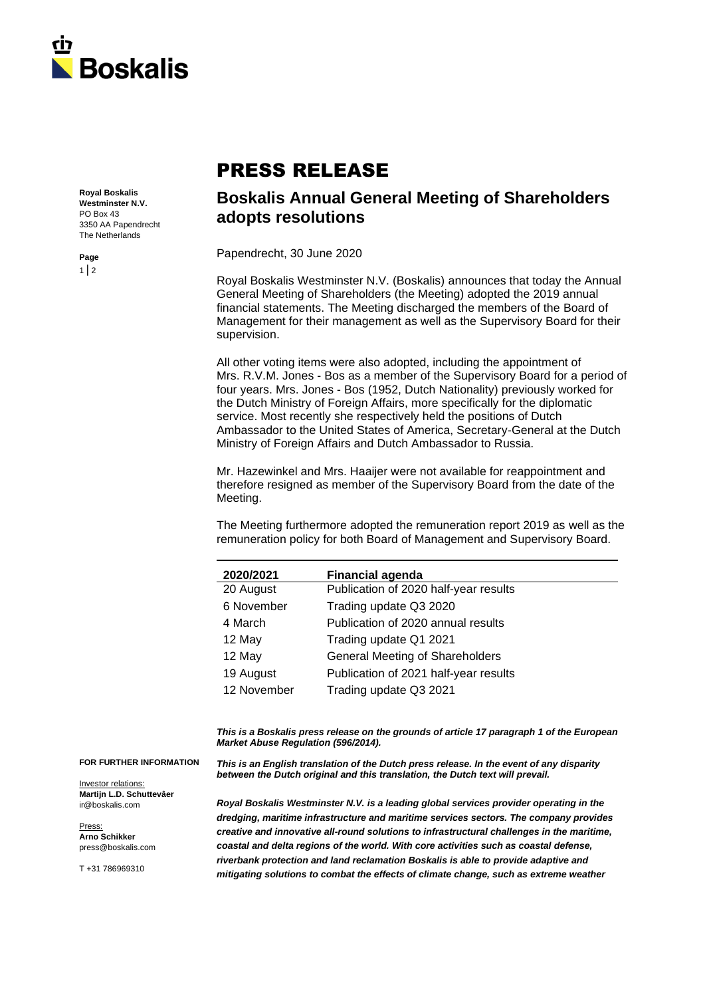

## PRESS RELEASE

**Royal Boskalis Westminster N.V.** PO Box 43 3350 AA Papendrecht The Netherlands

## **Boskalis Annual General Meeting of Shareholders adopts resolutions**

Papendrecht, 30 June 2020

Royal Boskalis Westminster N.V. (Boskalis) announces that today the Annual General Meeting of Shareholders (the Meeting) adopted the 2019 annual financial statements. The Meeting discharged the members of the Board of Management for their management as well as the Supervisory Board for their supervision.

All other voting items were also adopted, including the appointment of Mrs. R.V.M. Jones - Bos as a member of the Supervisory Board for a period of four years. Mrs. Jones - Bos (1952, Dutch Nationality) previously worked for the Dutch Ministry of Foreign Affairs, more specifically for the diplomatic service. Most recently she respectively held the positions of Dutch Ambassador to the United States of America, Secretary-General at the Dutch Ministry of Foreign Affairs and Dutch Ambassador to Russia.

Mr. Hazewinkel and Mrs. Haaijer were not available for reappointment and therefore resigned as member of the Supervisory Board from the date of the Meeting.

The Meeting furthermore adopted the remuneration report 2019 as well as the remuneration policy for both Board of Management and Supervisory Board.

| 2020/2021   | <b>Financial agenda</b>                |
|-------------|----------------------------------------|
| 20 August   | Publication of 2020 half-year results  |
| 6 November  | Trading update Q3 2020                 |
| 4 March     | Publication of 2020 annual results     |
| 12 May      | Trading update Q1 2021                 |
| 12 May      | <b>General Meeting of Shareholders</b> |
| 19 August   | Publication of 2021 half-year results  |
| 12 November | Trading update Q3 2021                 |

*This is a Boskalis press release on the grounds of article 17 paragraph 1 of the European Market Abuse Regulation (596/2014).*

**FOR FURTHER INFORMATION**

Investor relations: **Martijn L.D. Schuttevâer** ir@boskalis.com

Press: **Arno Schikker** press@boskalis.com

T +31 786969310

*This is an English translation of the Dutch press release. In the event of any disparity between the Dutch original and this translation, the Dutch text will prevail.*

*Royal Boskalis Westminster N.V. is a leading global services provider operating in the dredging, maritime infrastructure and maritime services sectors. The company provides creative and innovative all-round solutions to infrastructural challenges in the maritime, coastal and delta regions of the world. With core activities such as coastal defense, riverbank protection and land reclamation Boskalis is able to provide adaptive and mitigating solutions to combat the effects of climate change, such as extreme weather*